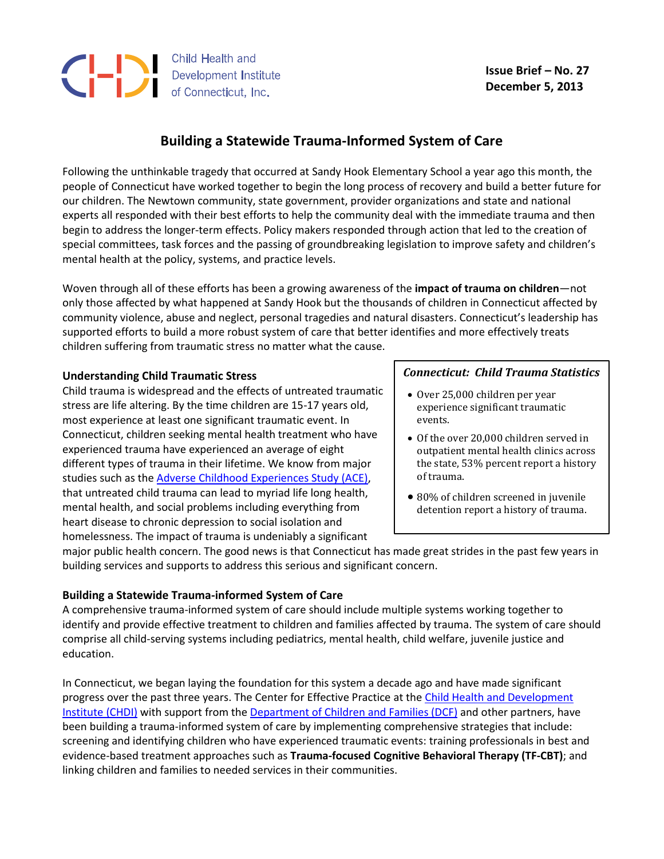

 **Issue Brief – No. 27 December 5, 2013**

# **Building a Statewide Trauma-Informed System of Care**

Following the unthinkable tragedy that occurred at Sandy Hook Elementary School a year ago this month, the people of Connecticut have worked together to begin the long process of recovery and build a better future for our children. The Newtown community, state government, provider organizations and state and national experts all responded with their best efforts to help the community deal with the immediate trauma and then begin to address the longer-term effects. Policy makers responded through action that led to the creation of special committees, task forces and the passing of groundbreaking legislation to improve safety and children's mental health at the policy, systems, and practice levels.

Woven through all of these efforts has been a growing awareness of the **impact of trauma on children**—not only those affected by what happened at Sandy Hook but the thousands of children in Connecticut affected by community violence, abuse and neglect, personal tragedies and natural disasters. Connecticut's leadership has supported efforts to build a more robust system of care that better identifies and more effectively treats children suffering from traumatic stress no matter what the cause.

### **Understanding Child Traumatic Stress**

Child trauma is widespread and the effects of untreated traumatic stress are life altering. By the time children are 15-17 years old, most experience at least one significant traumatic event. In Connecticut, children seeking mental health treatment who have experienced trauma have experienced an average of eight different types of trauma in their lifetime. We know from major studies such as th[e Adverse Childhood Experiences Study \(ACE\),](http://www.acestudy.org/) that untreated child trauma can lead to myriad life long health, mental health, and social problems including everything from heart disease to chronic depression to social isolation and homelessness. The impact of trauma is undeniably a significant

## *Connecticut: Child Trauma Statistics*

- Over 25,000 children per year experience significant traumatic events.
- Of the over 20,000 children served in outpatient mental health clinics across the state, 53% percent report a history of trauma.
- 80% of children screened in juvenile detention report a history of trauma.

major public health concern. The good news is that Connecticut has made great strides in the past few years in building services and supports to address this serious and significant concern.

#### **Building a Statewide Trauma-informed System of Care**

A comprehensive trauma-informed system of care should include multiple systems working together to identify and provide effective treatment to children and families affected by trauma. The system of care should comprise all child-serving systems including pediatrics, mental health, child welfare, juvenile justice and education.

In Connecticut, we began laying the foundation for this system a decade ago and have made significant progress over the past three years. The Center for Effective Practice at the Child Health [and Development](http://www.chdi.org/)  [Institute](http://www.chdi.org/) (CHDI) with support from th[e Department of Children and Families \(DCF\)](http://www.ct.gov/dcf) and other partners, have been building a trauma-informed system of care by implementing comprehensive strategies that include: screening and identifying children who have experienced traumatic events: training professionals in best and evidence-based treatment approaches such as **Trauma-focused Cognitive Behavioral Therapy (TF-CBT)**; and linking children and families to needed services in their communities.